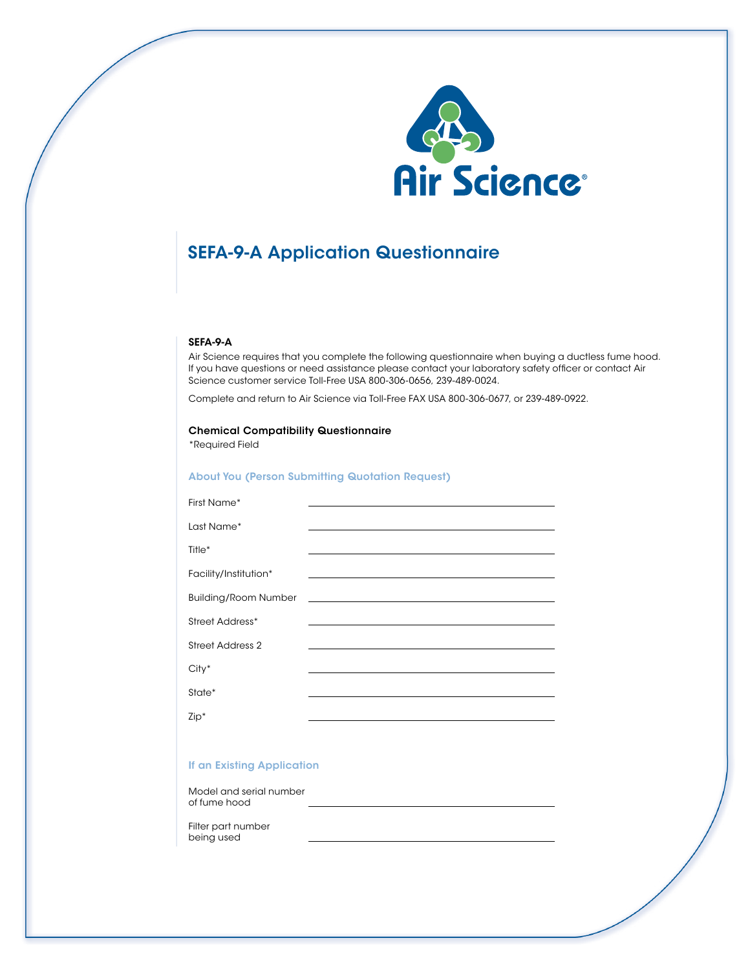

# SEFA-9-A Application Questionnaire

#### SEFA-9-A

Air Science requires that you complete the following questionnaire when buying a ductless fume hood. If you have questions or need assistance please contact your laboratory safety officer or contact Air Science customer service Toll-Free USA 800-306-0656, 239-489-0024.

Complete and return to Air Science via Toll-Free FAX USA 800-306-0677, or 239-489-0922.

# Chemical Compatibility Questionnaire

\*Required Field

#### About You (Person Submitting Quotation Request)

| First Name*                 |                                                                                                                                                                                                                               |
|-----------------------------|-------------------------------------------------------------------------------------------------------------------------------------------------------------------------------------------------------------------------------|
|                             |                                                                                                                                                                                                                               |
| Last Name*                  | the control of the control of the control of the control of the control of the control of                                                                                                                                     |
| Title <sup>*</sup>          | the control of the control of the control of the control of the control of the control of the control of the control of the control of the control of the control of the control of the control of the control of the control |
|                             |                                                                                                                                                                                                                               |
| Facility/Institution*       |                                                                                                                                                                                                                               |
| <b>Building/Room Number</b> | <u> 1989 - Johann Harry Barn, mars and deutscher Statistike († 1918)</u>                                                                                                                                                      |
|                             |                                                                                                                                                                                                                               |
| Street Address*             |                                                                                                                                                                                                                               |
| Street Address 2            | the control of the control of the control of the control of the control of the control of                                                                                                                                     |
|                             |                                                                                                                                                                                                                               |
| $City*$                     |                                                                                                                                                                                                                               |
| State*                      |                                                                                                                                                                                                                               |
|                             |                                                                                                                                                                                                                               |
| $Zip*$                      |                                                                                                                                                                                                                               |

### If an Existing Application

Model and serial number of fume hood  $\overline{a}$ 

 $\overline{a}$ 

Filter part number being used